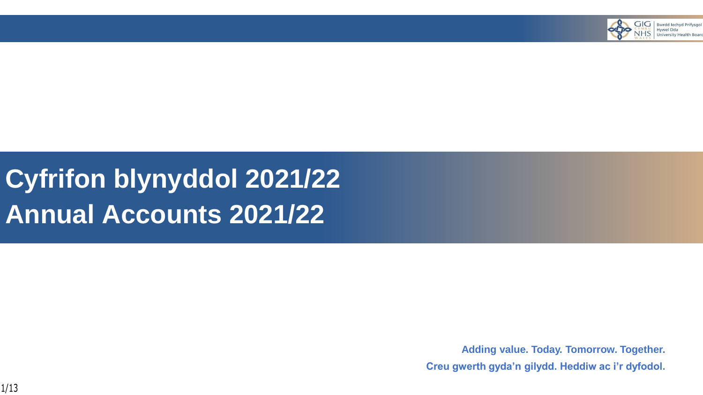

## **Cyfrifon blynyddol 2021/22 Annual Accounts 2021/22**

**Adding value. Today. Tomorrow. Together. Creu gwerth gyda'n gilydd. Heddiw ac i'r dyfodol.**

1/13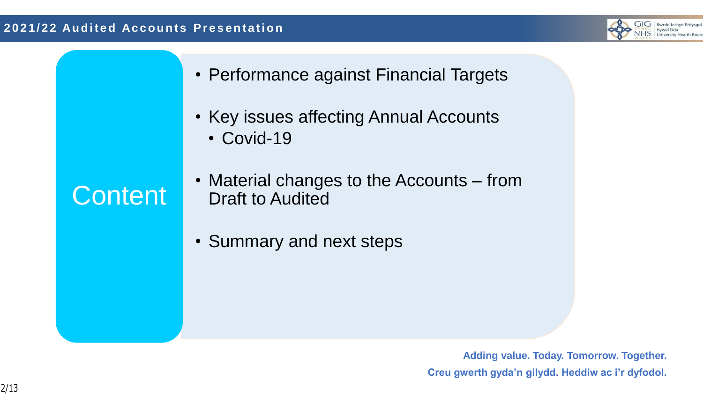

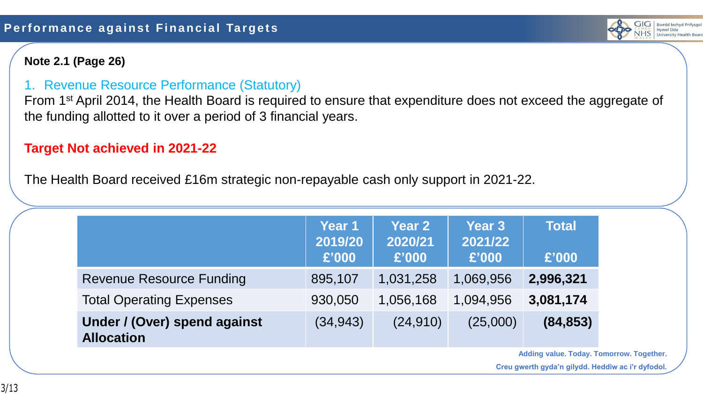#### **Note 2.1 (Page 26)**

## 1. Revenue Resource Performance (Statutory)

From 1<sup>st</sup> April 2014, the Health Board is required to ensure that expenditure does not exceed the aggregate of the funding allotted to it over a period of 3 financial years.

## **Target Not achieved in 2021-22**

The Health Board received £16m strategic non-repayable cash only support in 2021-22.

|                                                   | Year 1<br>2019/20<br>£'000 | <b>Year 2</b><br>2020/21<br>£'000 | <b>Year 3</b><br>2021/22<br>£'000 | <b>Total</b><br>£'000 |
|---------------------------------------------------|----------------------------|-----------------------------------|-----------------------------------|-----------------------|
| <b>Revenue Resource Funding</b>                   | 895,107                    | 1,031,258                         | 1,069,956                         | 2,996,321             |
| <b>Total Operating Expenses</b>                   | 930,050                    | 1,056,168                         | 1,094,956                         | 3,081,174             |
| Under / (Over) spend against<br><b>Allocation</b> | (34, 943)                  | (24, 910)                         | (25,000)                          | (84, 853)             |

**Adding value. Today. Tomorrow. Together.**

 $\overline{G[G]}$  Bwrdd lechyd Prifysgol Hywel Dda University Health Board

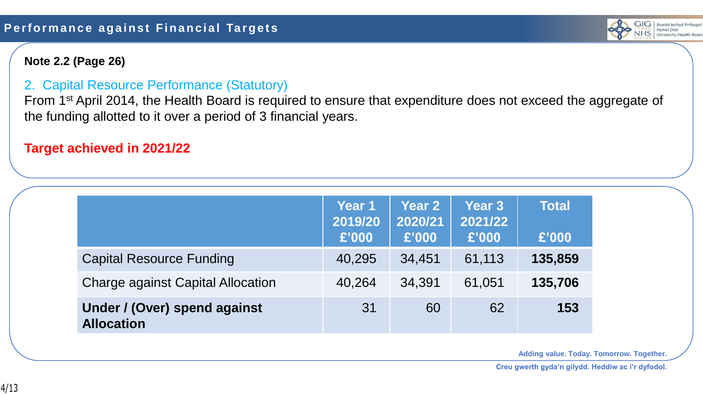

#### **Note 2.2 (Page 26)**

#### 2. Capital Resource Performance (Statutory)

From 1<sup>st</sup> April 2014, the Health Board is required to ensure that expenditure does not exceed the aggregate of the funding allotted to it over a period of 3 financial years.

#### **Target achieved in 2021/22**

|                                                   | Year 1<br>2019/20<br>£'000 | <b>Year 2</b><br>2020/21<br>£'000 | <b>Year 3</b><br>2021/22<br>£'000 | <b>Total</b><br>£'000 |
|---------------------------------------------------|----------------------------|-----------------------------------|-----------------------------------|-----------------------|
| <b>Capital Resource Funding</b>                   | 40,295                     | 34,451                            | 61,113                            | 135,859               |
| <b>Charge against Capital Allocation</b>          | 40,264                     | 34,391                            | 61,051                            | 135,706               |
| Under / (Over) spend against<br><b>Allocation</b> | 31                         | 60                                | 62                                | 153                   |

**Adding value. Today. Tomorrow. Together.**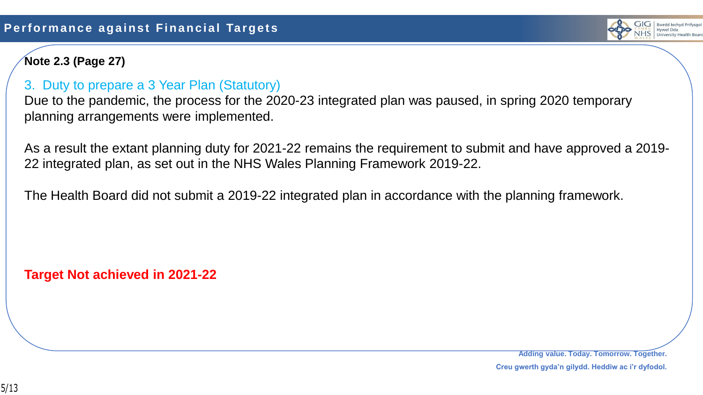

## **Note 2.3 (Page 27)**

#### 3. Duty to prepare a 3 Year Plan (Statutory)

Due to the pandemic, the process for the 2020-23 integrated plan was paused, in spring 2020 temporary planning arrangements were implemented.

As a result the extant planning duty for 2021-22 remains the requirement to submit and have approved a 2019- 22 integrated plan, as set out in the NHS Wales Planning Framework 2019-22.

The Health Board did not submit a 2019-22 integrated plan in accordance with the planning framework.

**Target Not achieved in 2021-22**

**Adding value. Today. Tomorrow. Together.**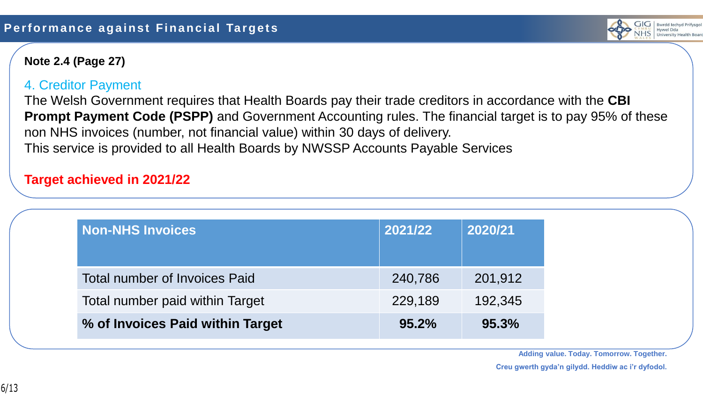

#### **Note 2.4 (Page 27)**

#### 4. Creditor Payment

The Welsh Government requires that Health Boards pay their trade creditors in accordance with the **CBI Prompt Payment Code (PSPP)** and Government Accounting rules. The financial target is to pay 95% of these non NHS invoices (number, not financial value) within 30 days of delivery. This service is provided to all Health Boards by NWSSP Accounts Payable Services

#### **Target achieved in 2021/22**

| <b>Non-NHS Invoices</b>              | 2021/22 | 2020/21 |
|--------------------------------------|---------|---------|
| <b>Total number of Invoices Paid</b> | 240,786 | 201,912 |
| Total number paid within Target      | 229,189 | 192,345 |
| % of Invoices Paid within Target     | 95.2%   | 95.3%   |

**Adding value. Today. Tomorrow. Together.**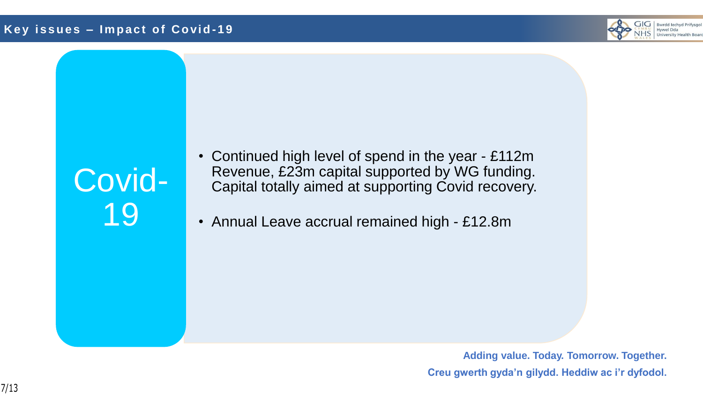#### **K e y i s s u e s – I m p a c t o f C o vi d - 1 9**



# Covid-19

- Continued high level of spend in the year £112m Revenue, £23m capital supported by WG funding. Capital totally aimed at supporting Covid recovery.
- Annual Leave accrual remained high £12.8m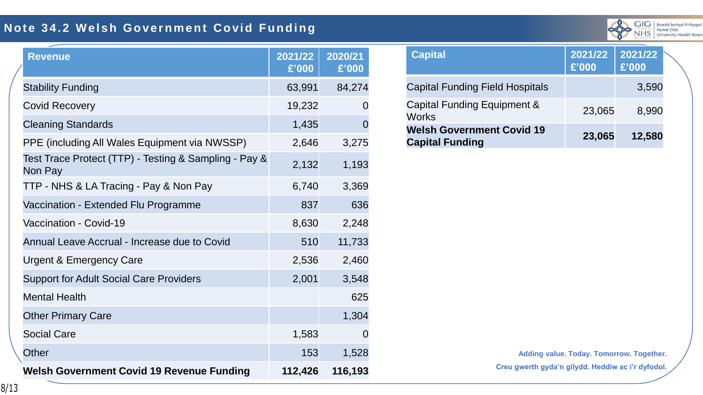## **Note 34.2 Welsh Government Covid Funding**



| <b>Revenue</b>                                                   | 2021/22<br>£'000 | 2020/21<br>£'000 |
|------------------------------------------------------------------|------------------|------------------|
| <b>Stability Funding</b>                                         | 63,991           | 84,274           |
| <b>Covid Recovery</b>                                            | 19,232           | 0                |
| <b>Cleaning Standards</b>                                        | 1,435            | $\overline{0}$   |
| PPE (including All Wales Equipment via NWSSP)                    | 2,646            | 3,275            |
| Test Trace Protect (TTP) - Testing & Sampling - Pay &<br>Non Pay | 2,132            | 1,193            |
| TTP - NHS & LA Tracing - Pay & Non Pay                           | 6,740            | 3,369            |
| Vaccination - Extended Flu Programme                             | 837              | 636              |
| Vaccination - Covid-19                                           | 8,630            | 2,248            |
| Annual Leave Accrual - Increase due to Covid                     | 510              | 11,733           |
| <b>Urgent &amp; Emergency Care</b>                               | 2,536            | 2,460            |
| <b>Support for Adult Social Care Providers</b>                   | 2,001            | 3,548            |
| <b>Mental Health</b>                                             |                  | 625              |
| <b>Other Primary Care</b>                                        |                  | 1,304            |
| <b>Social Care</b>                                               | 1,583            | $\Omega$         |
| <b>Other</b>                                                     | 153              | 1,528            |
| <b>Welsh Government Covid 19 Revenue Funding</b>                 | 112,426          | 116,193          |

| <b>Capital</b>                                             | 2021/22<br>£'000 | 2021/22<br>£'000 |  |
|------------------------------------------------------------|------------------|------------------|--|
| <b>Capital Funding Field Hospitals</b>                     |                  | 3,590            |  |
| Capital Funding Equipment &<br><b>Works</b>                | 23,065           | 8,990            |  |
| <b>Welsh Government Covid 19</b><br><b>Capital Funding</b> | 23,065           | 12,580           |  |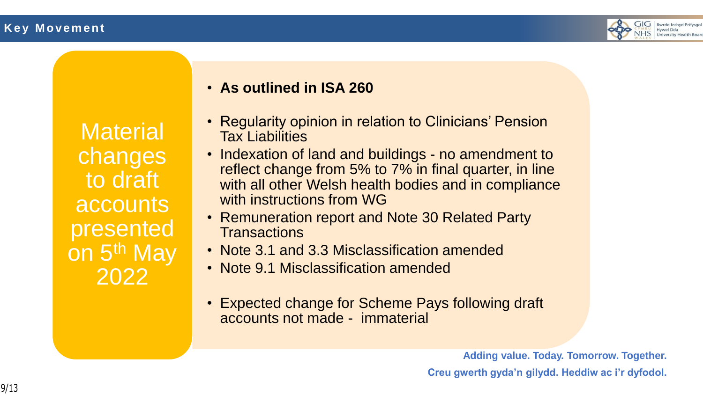

**Material** changes to draft accounts presented on 5<sup>th</sup> May 2022

## • **As outlined in ISA 260**

- Regularity opinion in relation to Clinicians' Pension Tax Liabilities
- Indexation of land and buildings no amendment to reflect change from 5% to 7% in final quarter, in line with all other Welsh health bodies and in compliance with instructions from WG
- Remuneration report and Note 30 Related Party **Transactions**
- Note 3.1 and 3.3 Misclassification amended
- Note 9.1 Misclassification amended
- Expected change for Scheme Pays following draft accounts not made - immaterial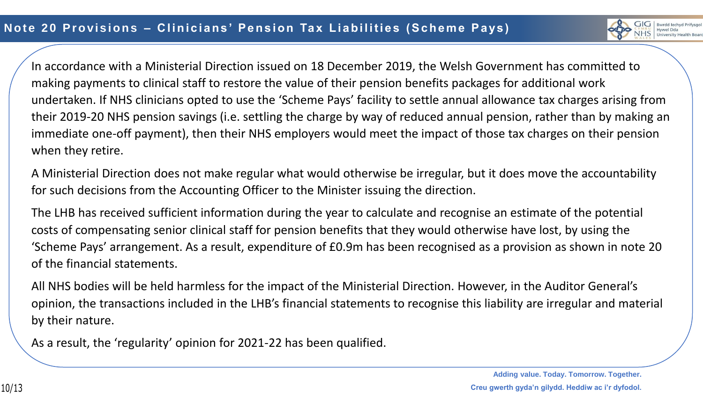

In accordance with a Ministerial Direction issued on 18 December 2019, the Welsh Government has committed to making payments to clinical staff to restore the value of their pension benefits packages for additional work undertaken. If NHS clinicians opted to use the 'Scheme Pays' facility to settle annual allowance tax charges arising from their 2019-20 NHS pension savings (i.e. settling the charge by way of reduced annual pension, rather than by making an immediate one-off payment), then their NHS employers would meet the impact of those tax charges on their pension when they retire.

A Ministerial Direction does not make regular what would otherwise be irregular, but it does move the accountability for such decisions from the Accounting Officer to the Minister issuing the direction.

The LHB has received sufficient information during the year to calculate and recognise an estimate of the potential costs of compensating senior clinical staff for pension benefits that they would otherwise have lost, by using the 'Scheme Pays' arrangement. As a result, expenditure of £0.9m has been recognised as a provision as shown in note 20 of the financial statements.

All NHS bodies will be held harmless for the impact of the Ministerial Direction. However, in the Auditor General's opinion, the transactions included in the LHB's financial statements to recognise this liability are irregular and material by their nature.

As a result, the 'regularity' opinion for 2021-22 has been qualified.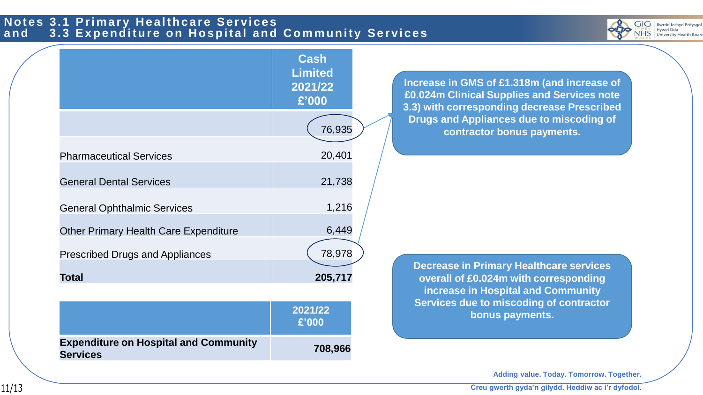#### **Notes 3.1 Primary Healthcare Services** and 3.3 Expenditure on Hospital and Community Services



|                                                                 | <b>Cash</b><br><b>Limited</b><br>2021/22<br>£'000 | Increase in GMS of £1.318m (and increase of<br>£0.024m Clinical Supplies and Services note<br>3.3) with corresponding decrease Prescribed |
|-----------------------------------------------------------------|---------------------------------------------------|-------------------------------------------------------------------------------------------------------------------------------------------|
|                                                                 | 76,935                                            | Drugs and Appliances due to miscoding of<br>contractor bonus payments.                                                                    |
| <b>Pharmaceutical Services</b>                                  | 20,401                                            |                                                                                                                                           |
| <b>General Dental Services</b>                                  | 21,738                                            |                                                                                                                                           |
| <b>General Ophthalmic Services</b>                              | 1,216                                             |                                                                                                                                           |
| <b>Other Primary Health Care Expenditure</b>                    | 6,449                                             |                                                                                                                                           |
| <b>Prescribed Drugs and Appliances</b>                          | 78,978                                            |                                                                                                                                           |
| <b>Total</b>                                                    | 205,717                                           | <b>Decrease in Primary Healthcare services</b><br>overall of £0.024m with corresponding<br>increase in Hospital and Community             |
|                                                                 | 2021/22<br>£'000                                  | Services due to miscoding of contractor<br>bonus payments.                                                                                |
| <b>Expenditure on Hospital and Community</b><br><b>Services</b> | 708,966                                           |                                                                                                                                           |

**Adding value. Today. Tomorrow. Together.**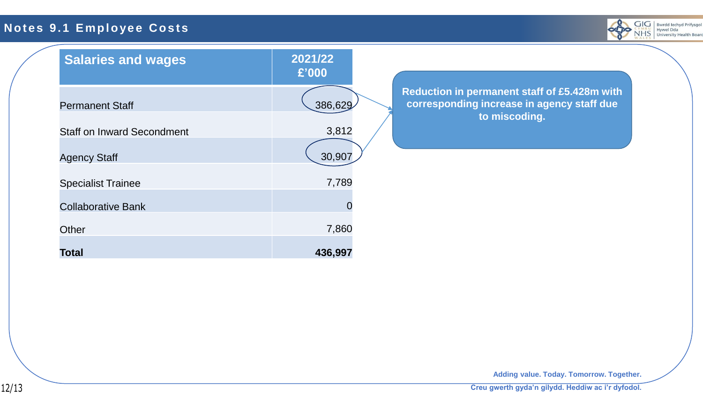## **Notes 9.1 Employee Costs**



| <b>Salaries and wages</b>         | 2021/22<br>£'000                                                                                                       |
|-----------------------------------|------------------------------------------------------------------------------------------------------------------------|
| <b>Permanent Staff</b>            | Reduction in permanent staff of £5.428m with<br>corresponding increase in agency staff due<br>386,629<br>to miscoding. |
| <b>Staff on Inward Secondment</b> | 3,812                                                                                                                  |
| <b>Agency Staff</b>               | 30,907                                                                                                                 |
| <b>Specialist Trainee</b>         | 7,789                                                                                                                  |
| <b>Collaborative Bank</b>         | $\Omega$                                                                                                               |
| Other                             | 7,860                                                                                                                  |
| <b>Total</b>                      | 436,997                                                                                                                |

**Adding value. Today. Tomorrow. Together.**